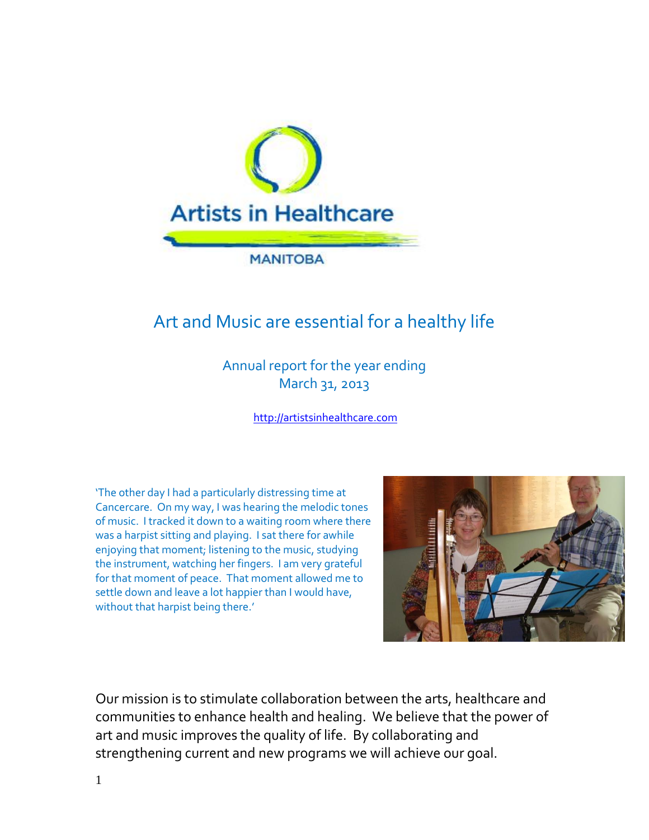

# Art and Music are essential for a healthy life

Annual report for the year ending March 31, 2013

[http://artistsinhealthcare.com](http://artistsinhealthcare.com/)

'The other day I had a particularly distressing time at Cancercare. On my way, I was hearing the melodic tones of music. I tracked it down to a waiting room where there was a harpist sitting and playing. I sat there for awhile enjoying that moment; listening to the music, studying the instrument, watching her fingers. I am very grateful for that moment of peace. That moment allowed me to settle down and leave a lot happier than I would have, without that harpist being there.'



Our mission is to stimulate collaboration between the arts, healthcare and communities to enhance health and healing. We believe that the power of art and music improves the quality of life. By collaborating and strengthening current and new programs we will achieve our goal.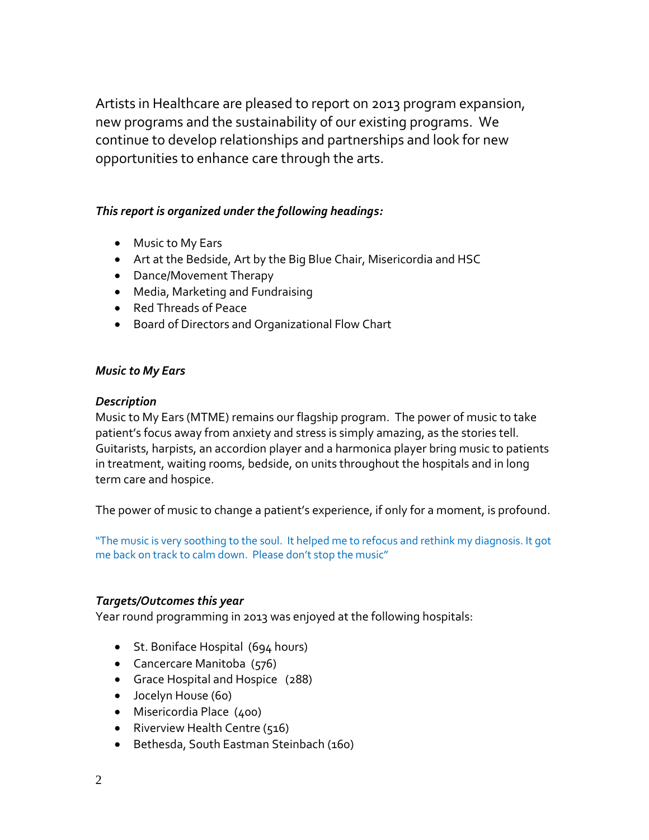Artists in Healthcare are pleased to report on 2013 program expansion, new programs and the sustainability of our existing programs. We continue to develop relationships and partnerships and look for new opportunities to enhance care through the arts.

## *This report is organized under the following headings:*

- Music to My Ears
- Art at the Bedside, Art by the Big Blue Chair, Misericordia and HSC
- Dance/Movement Therapy
- Media, Marketing and Fundraising
- Red Threads of Peace
- Board of Directors and Organizational Flow Chart

## *Music to My Ears*

## *Description*

Music to My Ears (MTME) remains our flagship program. The power of music to take patient's focus away from anxiety and stress is simply amazing, as the stories tell. Guitarists, harpists, an accordion player and a harmonica player bring music to patients in treatment, waiting rooms, bedside, on units throughout the hospitals and in long term care and hospice.

The power of music to change a patient's experience, if only for a moment, is profound.

"The music is very soothing to the soul. It helped me to refocus and rethink my diagnosis. It got me back on track to calm down. Please don't stop the music"

## *Targets/Outcomes this year*

Year round programming in 2013 was enjoyed at the following hospitals:

- St. Boniface Hospital (694 hours)
- Cancercare Manitoba (576)
- Grace Hospital and Hospice (288)
- Jocelyn House (60)
- Misericordia Place (400)
- Riverview Health Centre (516)
- Bethesda, South Eastman Steinbach (160)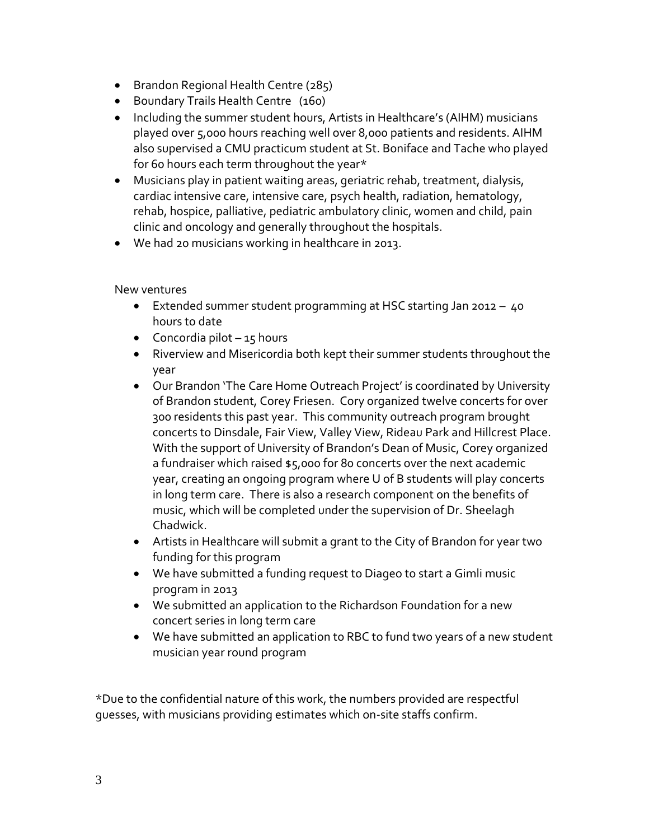- **Brandon Regional Health Centre (285)**
- Boundary Trails Health Centre (160)
- Including the summer student hours, Artists in Healthcare's (AIHM) musicians played over 5,000 hours reaching well over 8,000 patients and residents. AIHM also supervised a CMU practicum student at St. Boniface and Tache who played for 60 hours each term throughout the year\*
- Musicians play in patient waiting areas, geriatric rehab, treatment, dialysis, cardiac intensive care, intensive care, psych health, radiation, hematology, rehab, hospice, palliative, pediatric ambulatory clinic, women and child, pain clinic and oncology and generally throughout the hospitals.
- We had 20 musicians working in healthcare in 2013.

New ventures

- Extended summer student programming at HSC starting Jan 2012 40 hours to date
- Concordia pilot  $-15$  hours
- Riverview and Misericordia both kept their summer students throughout the year
- Our Brandon 'The Care Home Outreach Project' is coordinated by University of Brandon student, Corey Friesen. Cory organized twelve concerts for over 300 residents this past year. This community outreach program brought concerts to Dinsdale, Fair View, Valley View, Rideau Park and Hillcrest Place. With the support of University of Brandon's Dean of Music, Corey organized a fundraiser which raised \$5,000 for 80 concerts over the next academic year, creating an ongoing program where U of B students will play concerts in long term care. There is also a research component on the benefits of music, which will be completed under the supervision of Dr. Sheelagh Chadwick.
- Artists in Healthcare will submit a grant to the City of Brandon for year two funding for this program
- We have submitted a funding request to Diageo to start a Gimli music program in 2013
- We submitted an application to the Richardson Foundation for a new concert series in long term care
- We have submitted an application to RBC to fund two years of a new student musician year round program

\*Due to the confidential nature of this work, the numbers provided are respectful guesses, with musicians providing estimates which on-site staffs confirm.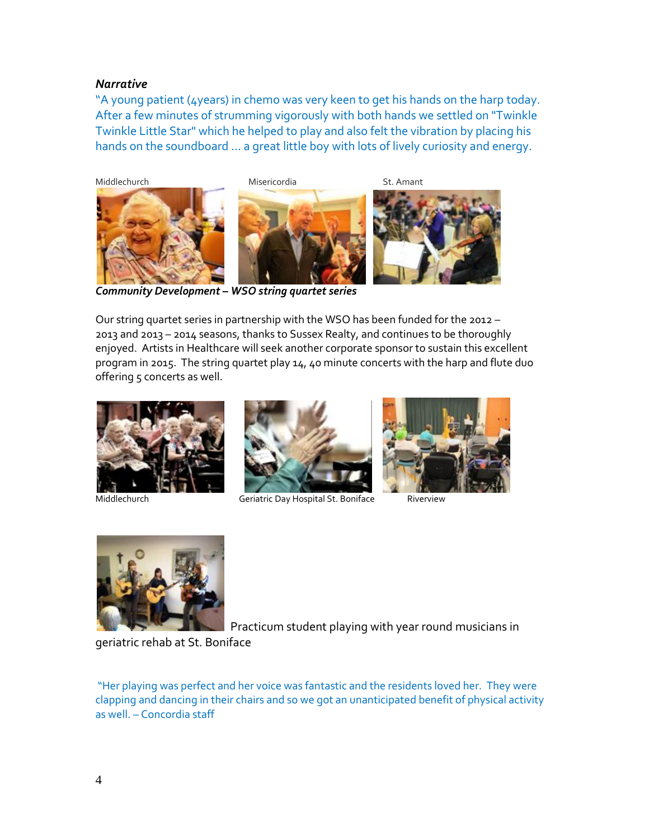#### *Narrative*

"A young patient (4years) in chemo was very keen to get his hands on the harp today. After a few minutes of strumming vigorously with both hands we settled on "Twinkle Twinkle Little Star" which he helped to play and also felt the vibration by placing his hands on the soundboard … a great little boy with lots of lively curiosity and energy.



*Community Development – WSO string quartet series*

Our string quartet series in partnership with the WSO has been funded for the 2012 – 2013 and 2013 – 2014 seasons, thanks to Sussex Realty, and continues to be thoroughly enjoyed. Artists in Healthcare will seek another corporate sponsor to sustain this excellent program in 2015. The string quartet play 14, 40 minute concerts with the harp and flute duo offering 5 concerts as well.





Middlechurch Geriatric Day Hospital St. Boniface Riverview





Practicum student playing with year round musicians in

geriatric rehab at St. Boniface

"Her playing was perfect and her voice was fantastic and the residents loved her. They were clapping and dancing in their chairs and so we got an unanticipated benefit of physical activity as well. – Concordia staff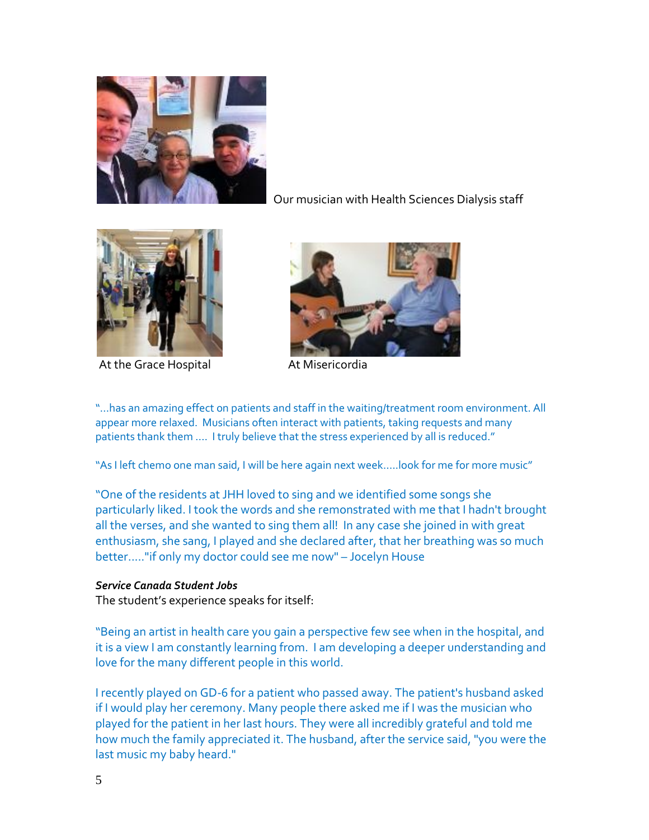

Our musician with Health Sciences Dialysis staff



At the Grace Hospital **At Misericordia** 



"…has an amazing effect on patients and staff in the waiting/treatment room environment. All appear more relaxed. Musicians often interact with patients, taking requests and many patients thank them .... I truly believe that the stress experienced by all is reduced."

"As I left chemo one man said, I will be here again next week.....look for me for more music"

"One of the residents at JHH loved to sing and we identified some songs she particularly liked. I took the words and she remonstrated with me that I hadn't brought all the verses, and she wanted to sing them all! In any case she joined in with great enthusiasm, she sang, I played and she declared after, that her breathing was so much better....."if only my doctor could see me now" – Jocelyn House

#### *Service Canada Student Jobs*

The student's experience speaks for itself:

"Being an artist in health care you gain a perspective few see when in the hospital, and it is a view I am constantly learning from. I am developing a deeper understanding and love for the many different people in this world.

I recently played on GD-6 for a patient who passed away. The patient's husband asked if I would play her ceremony. Many people there asked me if I was the musician who played for the patient in her last hours. They were all incredibly grateful and told me how much the family appreciated it. The husband, after the service said, "you were the last music my baby heard."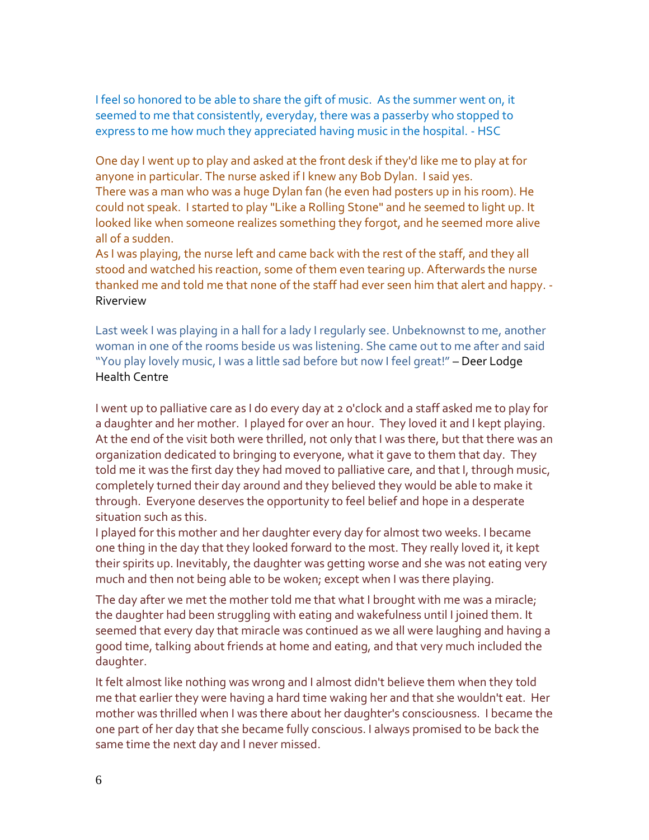I feel so honored to be able to share the gift of music. As the summer went on, it seemed to me that consistently, everyday, there was a passerby who stopped to express to me how much they appreciated having music in the hospital. - HSC

One day I went up to play and asked at the front desk if they'd like me to play at for anyone in particular. The nurse asked if I knew any Bob Dylan. I said yes. There was a man who was a huge Dylan fan (he even had posters up in his room). He could not speak. I started to play "Like a Rolling Stone" and he seemed to light up. It looked like when someone realizes something they forgot, and he seemed more alive all of a sudden.

As I was playing, the nurse left and came back with the rest of the staff, and they all stood and watched his reaction, some of them even tearing up. Afterwards the nurse thanked me and told me that none of the staff had ever seen him that alert and happy. - Riverview

Last week I was playing in a hall for a lady I regularly see. Unbeknownst to me, another woman in one of the rooms beside us was listening. She came out to me after and said "You play lovely music, I was a little sad before but now I feel great!" – Deer Lodge Health Centre

I went up to palliative care as I do every day at 2 o'clock and a staff asked me to play for a daughter and her mother. I played for over an hour. They loved it and I kept playing. At the end of the visit both were thrilled, not only that I was there, but that there was an organization dedicated to bringing to everyone, what it gave to them that day. They told me it was the first day they had moved to palliative care, and that I, through music, completely turned their day around and they believed they would be able to make it through. Everyone deserves the opportunity to feel belief and hope in a desperate situation such as this.

I played for this mother and her daughter every day for almost two weeks. I became one thing in the day that they looked forward to the most. They really loved it, it kept their spirits up. Inevitably, the daughter was getting worse and she was not eating very much and then not being able to be woken; except when I was there playing.

The day after we met the mother told me that what I brought with me was a miracle; the daughter had been struggling with eating and wakefulness until I joined them. It seemed that every day that miracle was continued as we all were laughing and having a good time, talking about friends at home and eating, and that very much included the daughter.

It felt almost like nothing was wrong and I almost didn't believe them when they told me that earlier they were having a hard time waking her and that she wouldn't eat. Her mother was thrilled when I was there about her daughter's consciousness. I became the one part of her day that she became fully conscious. I always promised to be back the same time the next day and I never missed.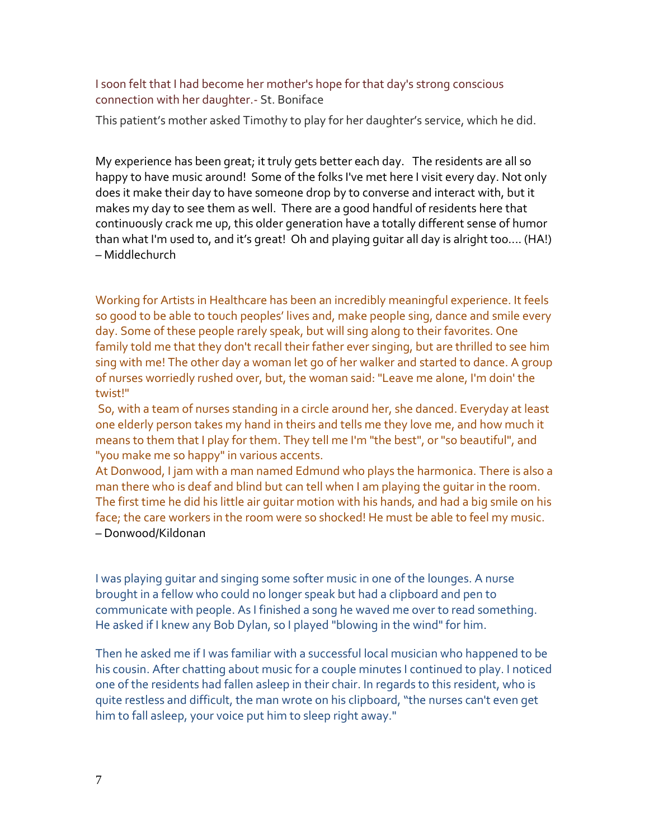#### I soon felt that I had become her mother's hope for that day's strong conscious connection with her daughter.- St. Boniface

This patient's mother asked Timothy to play for her daughter's service, which he did.

My experience has been great; it truly gets better each day. The residents are all so happy to have music around! Some of the folks I've met here I visit every day. Not only does it make their day to have someone drop by to converse and interact with, but it makes my day to see them as well. There are a good handful of residents here that continuously crack me up, this older generation have a totally different sense of humor than what I'm used to, and it's great! Oh and playing guitar all day is alright too.... (HA!) – Middlechurch

Working for Artists in Healthcare has been an incredibly meaningful experience. It feels so good to be able to touch peoples' lives and, make people sing, dance and smile every day. Some of these people rarely speak, but will sing along to their favorites. One family told me that they don't recall their father ever singing, but are thrilled to see him sing with me! The other day a woman let go of her walker and started to dance. A group of nurses worriedly rushed over, but, the woman said: "Leave me alone, I'm doin' the twist!"

So, with a team of nurses standing in a circle around her, she danced. Everyday at least one elderly person takes my hand in theirs and tells me they love me, and how much it means to them that I play for them. They tell me I'm "the best", or "so beautiful", and "you make me so happy" in various accents.

At Donwood, I jam with a man named Edmund who plays the harmonica. There is also a man there who is deaf and blind but can tell when I am playing the guitar in the room. The first time he did his little air guitar motion with his hands, and had a big smile on his face; the care workers in the room were so shocked! He must be able to feel my music. – Donwood/Kildonan

I was playing guitar and singing some softer music in one of the lounges. A nurse brought in a fellow who could no longer speak but had a clipboard and pen to communicate with people. As I finished a song he waved me over to read something. He asked if I knew any Bob Dylan, so I played "blowing in the wind" for him.

Then he asked me if I was familiar with a successful local musician who happened to be his cousin. After chatting about music for a couple minutes I continued to play. I noticed one of the residents had fallen asleep in their chair. In regards to this resident, who is quite restless and difficult, the man wrote on his clipboard, "the nurses can't even get him to fall asleep, your voice put him to sleep right away."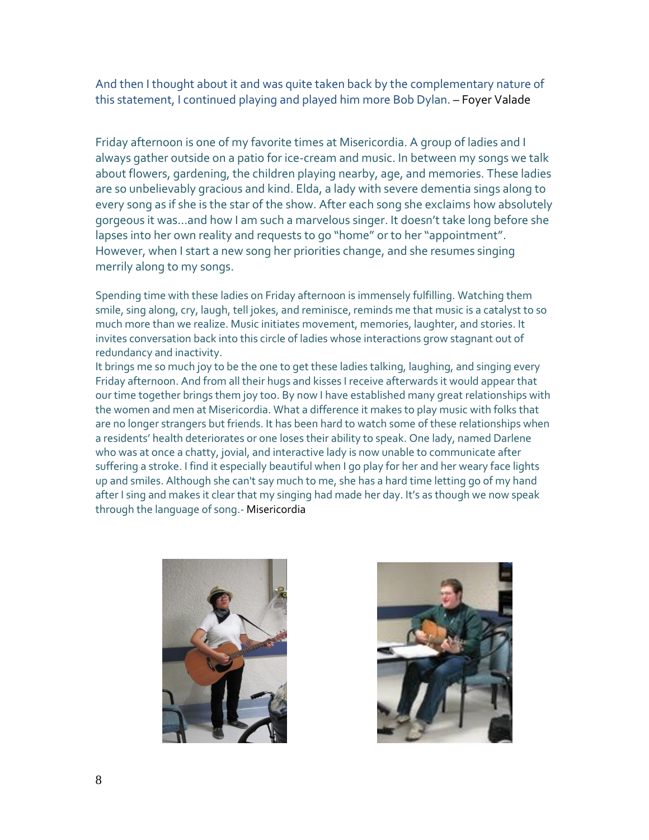And then I thought about it and was quite taken back by the complementary nature of this statement, I continued playing and played him more Bob Dylan. – Foyer Valade

Friday afternoon is one of my favorite times at Misericordia. A group of ladies and I always gather outside on a patio for ice-cream and music. In between my songs we talk about flowers, gardening, the children playing nearby, age, and memories. These ladies are so unbelievably gracious and kind. Elda, a lady with severe dementia sings along to every song as if she is the star of the show. After each song she exclaims how absolutely gorgeous it was...and how I am such a marvelous singer. It doesn't take long before she lapses into her own reality and requests to go "home" or to her "appointment". However, when I start a new song her priorities change, and she resumes singing merrily along to my songs.

Spending time with these ladies on Friday afternoon is immensely fulfilling. Watching them smile, sing along, cry, laugh, tell jokes, and reminisce, reminds me that music is a catalyst to so much more than we realize. Music initiates movement, memories, laughter, and stories. It invites conversation back into this circle of ladies whose interactions grow stagnant out of redundancy and inactivity.

It brings me so much joy to be the one to get these ladies talking, laughing, and singing every Friday afternoon. And from all their hugs and kisses I receive afterwards it would appear that our time together brings them joy too. By now I have established many great relationships with the women and men at Misericordia. What a difference it makes to play music with folks that are no longer strangers but friends. It has been hard to watch some of these relationships when a residents' health deteriorates or one loses their ability to speak. One lady, named Darlene who was at once a chatty, jovial, and interactive lady is now unable to communicate after suffering a stroke. I find it especially beautiful when I go play for her and her weary face lights up and smiles. Although she can't say much to me, she has a hard time letting go of my hand after I sing and makes it clear that my singing had made her day. It's as though we now speak through the language of song.- Misericordia



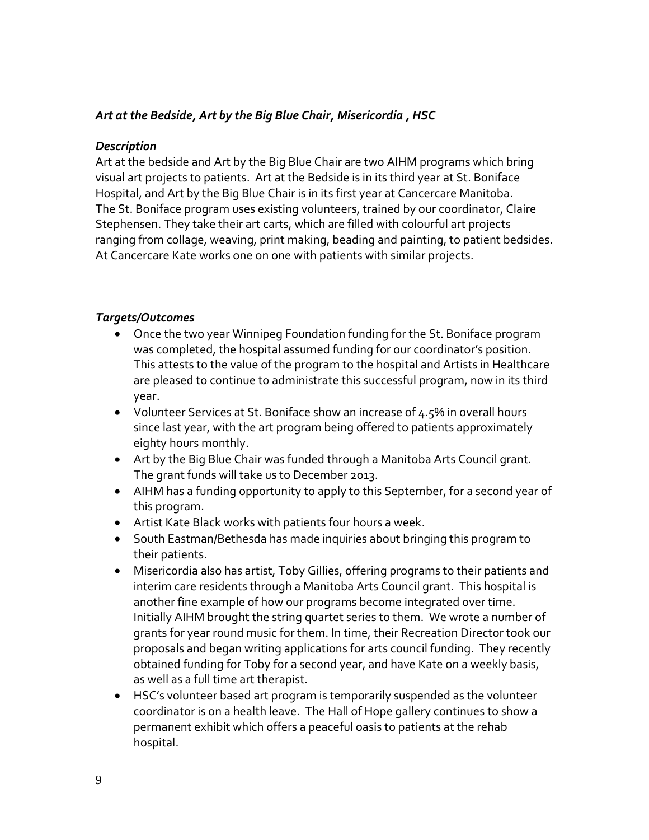## *Art at the Bedside, Art by the Big Blue Chair, Misericordia , HSC*

#### *Description*

Art at the bedside and Art by the Big Blue Chair are two AIHM programs which bring visual art projects to patients. Art at the Bedside is in its third year at St. Boniface Hospital, and Art by the Big Blue Chair is in its first year at Cancercare Manitoba. The St. Boniface program uses existing volunteers, trained by our coordinator, Claire Stephensen. They take their art carts, which are filled with colourful art projects ranging from collage, weaving, print making, beading and painting, to patient bedsides. At Cancercare Kate works one on one with patients with similar projects.

## *Targets/Outcomes*

- Once the two year Winnipeg Foundation funding for the St. Boniface program was completed, the hospital assumed funding for our coordinator's position. This attests to the value of the program to the hospital and Artists in Healthcare are pleased to continue to administrate this successful program, now in its third year.
- Volunteer Services at St. Boniface show an increase of  $4.5\%$  in overall hours since last year, with the art program being offered to patients approximately eighty hours monthly.
- Art by the Big Blue Chair was funded through a Manitoba Arts Council grant. The grant funds will take us to December 2013.
- AIHM has a funding opportunity to apply to this September, for a second year of this program.
- Artist Kate Black works with patients four hours a week.
- South Eastman/Bethesda has made inquiries about bringing this program to their patients.
- Misericordia also has artist, Toby Gillies, offering programs to their patients and interim care residents through a Manitoba Arts Council grant. This hospital is another fine example of how our programs become integrated over time. Initially AIHM brought the string quartet series to them. We wrote a number of grants for year round music for them. In time, their Recreation Director took our proposals and began writing applications for arts council funding. They recently obtained funding for Toby for a second year, and have Kate on a weekly basis, as well as a full time art therapist.
- HSC's volunteer based art program is temporarily suspended as the volunteer coordinator is on a health leave. The Hall of Hope gallery continues to show a permanent exhibit which offers a peaceful oasis to patients at the rehab hospital.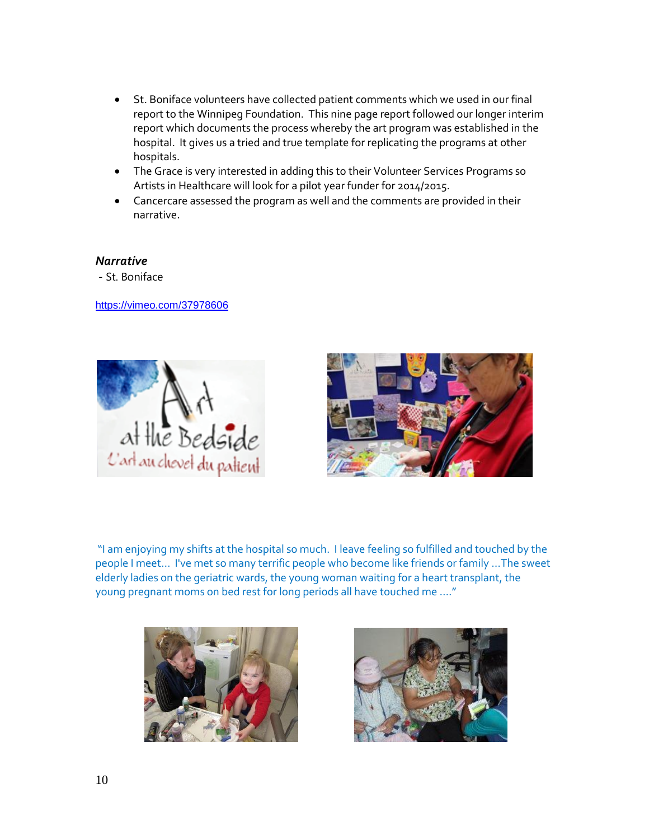- St. Boniface volunteers have collected patient comments which we used in our final report to the Winnipeg Foundation. This nine page report followed our longer interim report which documents the process whereby the art program was established in the hospital. It gives us a tried and true template for replicating the programs at other hospitals.
- The Grace is very interested in adding this to their Volunteer Services Programs so Artists in Healthcare will look for a pilot year funder for 2014/2015.
- Cancercare assessed the program as well and the comments are provided in their narrative.

#### *Narrative*

- St. Boniface

<https://vimeo.com/37978606>





"I am enjoying my shifts at the hospital so much. I leave feeling so fulfilled and touched by the people I meet... I've met so many terrific people who become like friends or family …The sweet elderly ladies on the geriatric wards, the young woman waiting for a heart transplant, the young pregnant moms on bed rest for long periods all have touched me …."



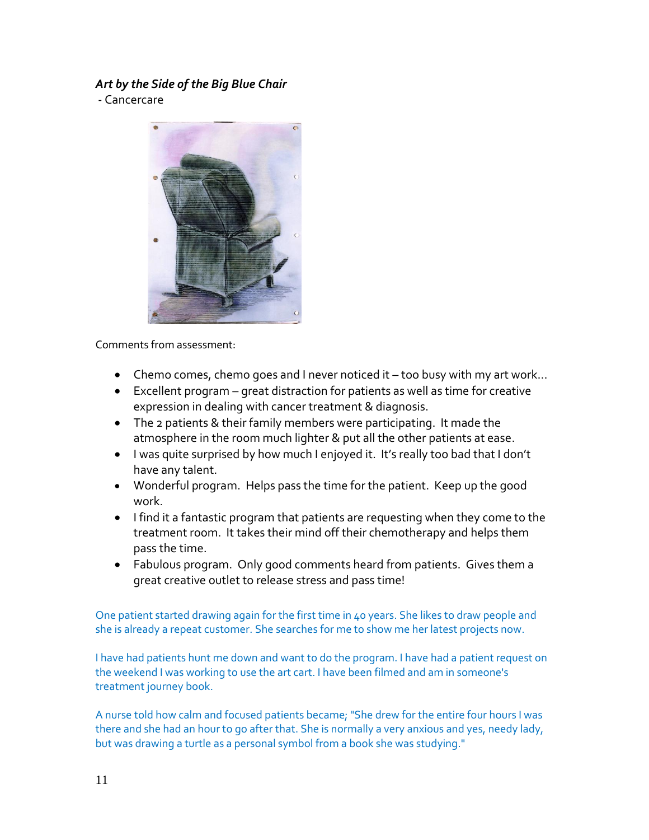# *Art by the Side of the Big Blue Chair*

- Cancercare



Comments from assessment:

- Chemo comes, chemo goes and I never noticed it too busy with my art work...
- Excellent program great distraction for patients as well as time for creative expression in dealing with cancer treatment & diagnosis.
- The 2 patients & their family members were participating. It made the atmosphere in the room much lighter & put all the other patients at ease.
- I was quite surprised by how much I enjoyed it. It's really too bad that I don't have any talent.
- Wonderful program. Helps pass the time for the patient. Keep up the good work.
- I find it a fantastic program that patients are requesting when they come to the treatment room. It takes their mind off their chemotherapy and helps them pass the time.
- Fabulous program. Only good comments heard from patients. Gives them a great creative outlet to release stress and pass time!

One patient started drawing again for the first time in 40 years. She likes to draw people and she is already a repeat customer. She searches for me to show me her latest projects now.

I have had patients hunt me down and want to do the program. I have had a patient request on the weekend I was working to use the art cart. I have been filmed and am in someone's treatment journey book.

A nurse told how calm and focused patients became; "She drew for the entire four hours I was there and she had an hour to go after that. She is normally a very anxious and yes, needy lady, but was drawing a turtle as a personal symbol from a book she was studying."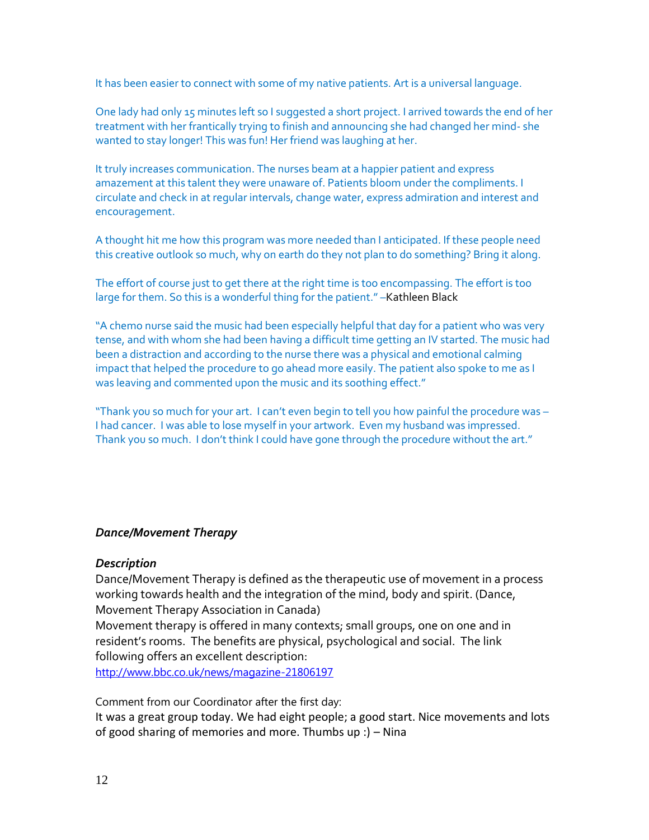It has been easier to connect with some of my native patients. Art is a universal language.

One lady had only 15 minutes left so I suggested a short project. I arrived towards the end of her treatment with her frantically trying to finish and announcing she had changed her mind- she wanted to stay longer! This was fun! Her friend was laughing at her.

It truly increases communication. The nurses beam at a happier patient and express amazement at this talent they were unaware of. Patients bloom under the compliments. I circulate and check in at regular intervals, change water, express admiration and interest and encouragement.

A thought hit me how this program was more needed than I anticipated. If these people need this creative outlook so much, why on earth do they not plan to do something? Bring it along.

The effort of course just to get there at the right time is too encompassing. The effort is too large for them. So this is a wonderful thing for the patient." –Kathleen Black

"A chemo nurse said the music had been especially helpful that day for a patient who was very tense, and with whom she had been having a difficult time getting an IV started. The music had been a distraction and according to the nurse there was a physical and emotional calming impact that helped the procedure to go ahead more easily. The patient also spoke to me as I was leaving and commented upon the music and its soothing effect."

"Thank you so much for your art. I can't even begin to tell you how painful the procedure was – I had cancer. I was able to lose myself in your artwork. Even my husband was impressed. Thank you so much. I don't think I could have gone through the procedure without the art."

#### *Dance/Movement Therapy*

#### *Description*

Dance/Movement Therapy is defined as the therapeutic use of movement in a process working towards health and the integration of the mind, body and spirit. (Dance, Movement Therapy Association in Canada)

Movement therapy is offered in many contexts; small groups, one on one and in resident's rooms. The benefits are physical, psychological and social. The link following offers an excellent description:

<http://www.bbc.co.uk/news/magazine-21806197>

Comment from our Coordinator after the first day:

It was a great group today. We had eight people; a good start. Nice movements and lots of good sharing of memories and more. Thumbs up :) – Nina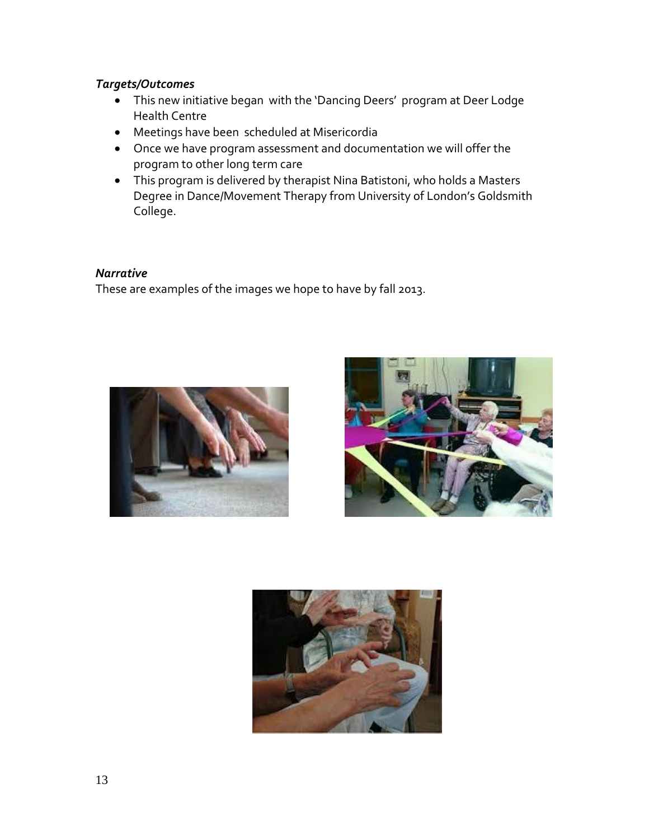# *Targets/Outcomes*

- This new initiative began with the 'Dancing Deers' program at Deer Lodge Health Centre
- Meetings have been scheduled at Misericordia
- Once we have program assessment and documentation we will offer the program to other long term care
- This program is delivered by therapist Nina Batistoni, who holds a Masters Degree in Dance/Movement Therapy from University of London's Goldsmith College.

## *Narrative*

These are examples of the images we hope to have by fall 2013.





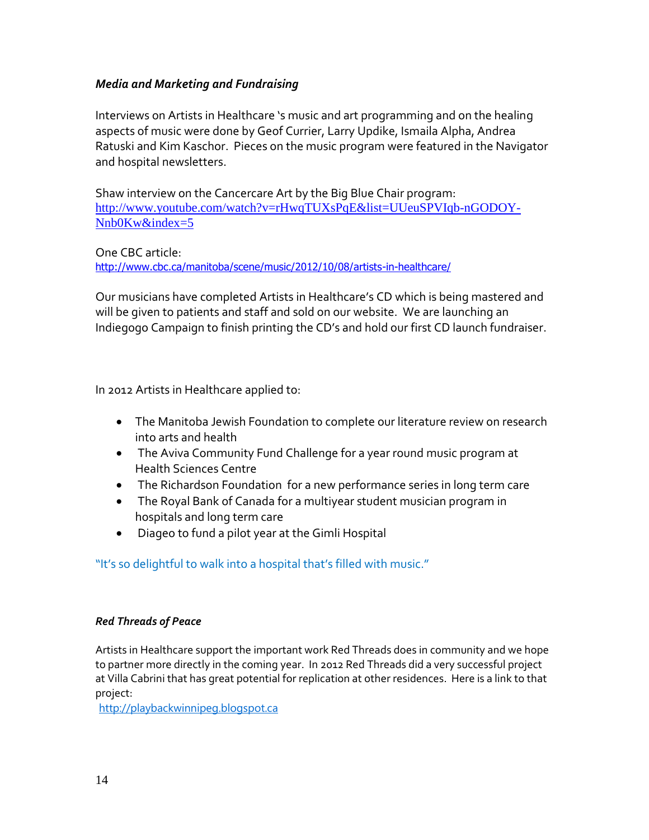## *Media and Marketing and Fundraising*

Interviews on Artists in Healthcare 's music and art programming and on the healing aspects of music were done by Geof Currier, Larry Updike, Ismaila Alpha, Andrea Ratuski and Kim Kaschor. Pieces on the music program were featured in the Navigator and hospital newsletters.

Shaw interview on the Cancercare Art by the Big Blue Chair program: [http://www.youtube.com/watch?v=rHwqTUXsPqE&list=UUeuSPVIqb-nGODOY-](http://www.youtube.com/watch?v=rHwqTUXsPqE&list=UUeuSPVIqb-nGODOY-Nnb0Kw&index=5)[Nnb0Kw&index=5](http://www.youtube.com/watch?v=rHwqTUXsPqE&list=UUeuSPVIqb-nGODOY-Nnb0Kw&index=5)

One CBC article: <http://www.cbc.ca/manitoba/scene/music/2012/10/08/artists-in-healthcare/>

Our musicians have completed Artists in Healthcare's CD which is being mastered and will be given to patients and staff and sold on our website. We are launching an Indiegogo Campaign to finish printing the CD's and hold our first CD launch fundraiser.

In 2012 Artists in Healthcare applied to:

- The Manitoba Jewish Foundation to complete our literature review on research into arts and health
- The Aviva Community Fund Challenge for a year round music program at Health Sciences Centre
- The Richardson Foundation for a new performance series in long term care
- The Royal Bank of Canada for a multiyear student musician program in hospitals and long term care
- Diageo to fund a pilot year at the Gimli Hospital

"It's so delightful to walk into a hospital that's filled with music."

## *Red Threads of Peace*

Artists in Healthcare support the important work Red Threads does in community and we hope to partner more directly in the coming year. In 2012 Red Threads did a very successful project at Villa Cabrini that has great potential for replication at other residences. Here is a link to that project:

[http://playbackwinnipeg.blogspot.ca](http://playbackwinnipeg.blogspot.ca/)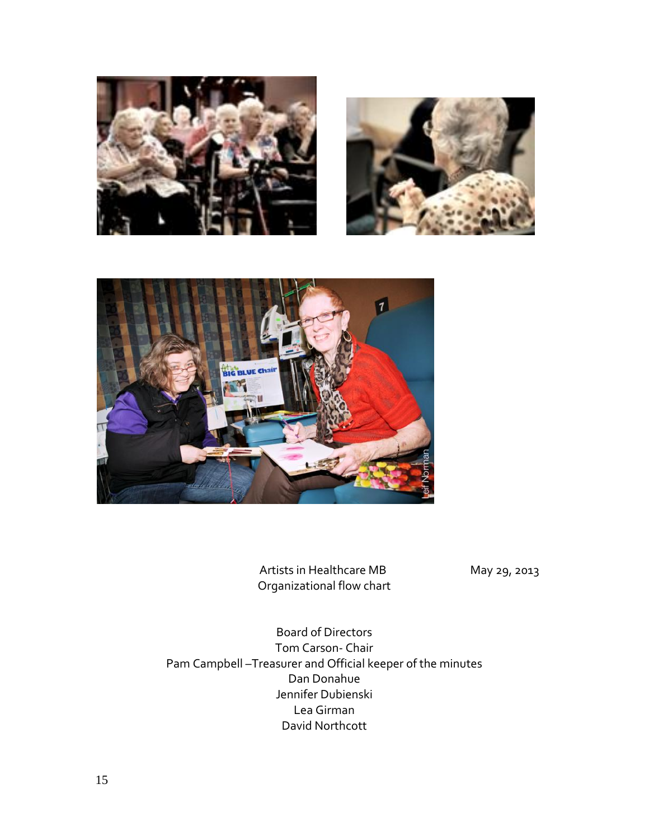





Artists in Healthcare MB May 29, 2013 Organizational flow chart

Board of Directors Tom Carson- Chair Pam Campbell –Treasurer and Official keeper of the minutes Dan Donahue Jennifer Dubienski Lea Girman David Northcott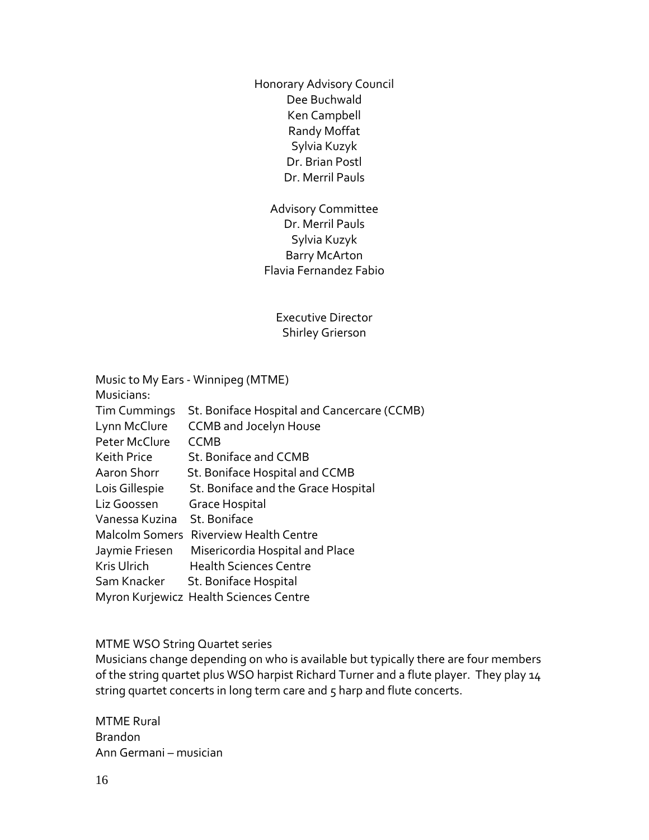Honorary Advisory Council Dee Buchwald Ken Campbell Randy Moffat Sylvia Kuzyk Dr. Brian Postl Dr. Merril Pauls

Advisory Committee Dr. Merril Pauls Sylvia Kuzyk Barry McArton Flavia Fernandez Fabio

Executive Director Shirley Grierson

| Music to My Ears - Winnipeg (MTME) |                                             |
|------------------------------------|---------------------------------------------|
| Musicians:                         |                                             |
| <b>Tim Cummings</b>                | St. Boniface Hospital and Cancercare (CCMB) |
| Lynn McClure                       | <b>CCMB and Jocelyn House</b>               |
| Peter McClure                      | <b>CCMB</b>                                 |
| Keith Price                        | St. Boniface and CCMB                       |
| Aaron Shorr                        | St. Boniface Hospital and CCMB              |
| Lois Gillespie                     | St. Boniface and the Grace Hospital         |
| Liz Goossen                        | <b>Grace Hospital</b>                       |
| Vanessa Kuzina                     | St. Boniface                                |
|                                    | Malcolm Somers Riverview Health Centre      |
| Jaymie Friesen                     | Misericordia Hospital and Place             |
| Kris Ulrich                        | <b>Health Sciences Centre</b>               |
|                                    | Sam Knacker St. Boniface Hospital           |
|                                    | Myron Kurjewicz Health Sciences Centre      |

#### MTME WSO String Quartet series

Musicians change depending on who is available but typically there are four members of the string quartet plus WSO harpist Richard Turner and a flute player. They play 14 string quartet concerts in long term care and 5 harp and flute concerts.

MTME Rural Brandon Ann Germani – musician